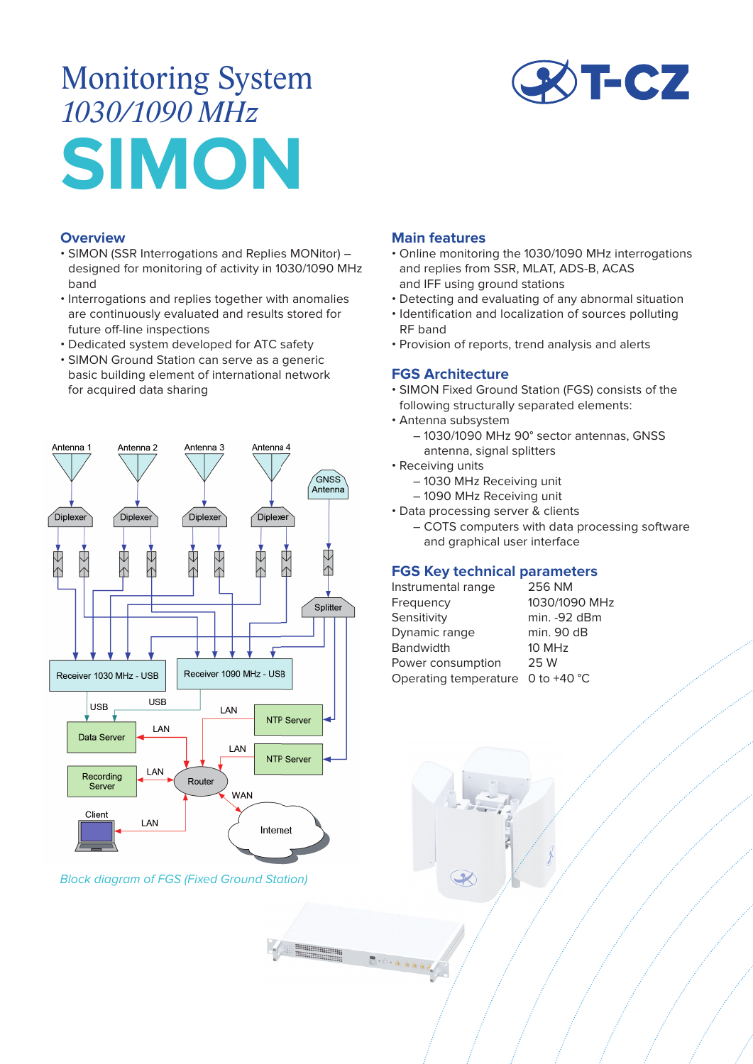# Monitoring System *1030/1090 MHz* **SIMON**

#### **Overview**

- SIMON (SSR Interrogations and Replies MONitor) designed for monitoring of activity in 1030/1090 MHz band
- Interrogations and replies together with anomalies are continuously evaluated and results stored for future off-line inspections
- Dedicated system developed for ATC safety
- SIMON Ground Station can serve as a generic basic building element of international network for acquired data sharing



## Block diagram of FGS (Fixed Ground Station)

 $\frac{1}{2}$  +  $\frac{1}{2}$  +  $\frac{1}{2}$  +  $\frac{1}{2}$ 



#### **Main features**

- Online monitoring the 1030/1090 MHz interrogations and replies from SSR, MLAT, ADS-B, ACAS and IFF using ground stations
- Detecting and evaluating of any abnormal situation
- Identification and localization of sources polluting RF band
- Provision of reports, trend analysis and alerts

### **FGS Architecture**

- SIMON Fixed Ground Station (FGS) consists of the following structurally separated elements:
- Antenna subsystem
	- 1030/1090 MHz 90° sector antennas, GNSS antenna, signal splitters
- Receiving units
	- 1030 MHz Receiving unit
	- 1090 MHz Receiving unit
- Data processing server & clients
	- COTS computers with data processing software and graphical user interface

## **FGS Key technical parameters**

| Instrumental range                  | 256 NM        |
|-------------------------------------|---------------|
| Frequency                           | 1030/1090 MHz |
| Sensitivity                         | min. -92 dBm  |
| Dynamic range                       | min. 90 dB    |
| <b>Bandwidth</b>                    | 10 MHz        |
| Power consumption                   | 25 W          |
| Operating temperature $0$ to +40 °C |               |
|                                     |               |

 $\overline{\boldsymbol{\mathcal{X}}}$